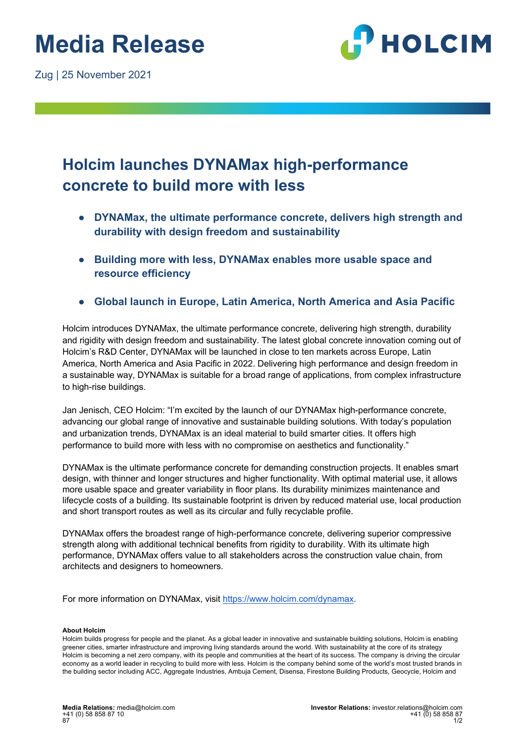Zug | 25 November 2021



## **Holcim launches DYNAMax high-performance concrete to build more with less**

- **DYNAMax, the ultimate performance concrete, delivers high strength and durability with design freedom and sustainability**
- **Building more with less, DYNAMax enables more usable space and resource efficiency**
- **Global launch in Europe, Latin America, North America and Asia Pacific**

Holcim introduces DYNAMax, the ultimate performance concrete, delivering high strength, durability and rigidity with design freedom and sustainability. The latest global concrete innovation coming out of Holcim's R&D Center, DYNAMax will be launched in close to ten markets across Europe, Latin America, North America and Asia Pacific in 2022. Delivering high performance and design freedom in a sustainable way, DYNAMax is suitable for a broad range of applications, from complex infrastructure to high-rise buildings.

Jan Jenisch, CEO Holcim: "I'm excited by the launch of our DYNAMax high-performance concrete, advancing our global range of innovative and sustainable building solutions. With today's population and urbanization trends, DYNAMax is an ideal material to build smarter cities. It offers high performance to build more with less with no compromise on aesthetics and functionality."

DYNAMax is the ultimate performance concrete for demanding construction projects. It enables smart design, with thinner and longer structures and higher functionality. With optimal material use, it allows more usable space and greater variability in floor plans. Its durability minimizes maintenance and lifecycle costs of a building. Its sustainable footprint is driven by reduced material use, local production and short transport routes as well as its circular and fully recyclable profile.

DYNAMax offers the broadest range of high-performance concrete, delivering superior compressive strength along with additional technical benefits from rigidity to durability. With its ultimate high performance, DYNAMax offers value to all stakeholders across the construction value chain, from architects and designers to homeowners.

For more information on DYNAMax, visit https://www.holcim.com/dynamax.

## **About Holcim**

Holcim builds progress for people and the planet. As a global leader in innovative and sustainable building solutions, Holcim is enabling greener cities, smarter infrastructure and improving living standards around the world. With sustainability at the core of its strategy Holcim is becoming a net zero company, with its people and communities at the heart of its success. The company is driving the circular economy as a world leader in recycling to build more with less. Holcim is the company behind some of the world's most trusted brands in the building sector including ACC, Aggregate Industries, Ambuja Cement, Disensa, Firestone Building Products, Geocycle, Holcim and